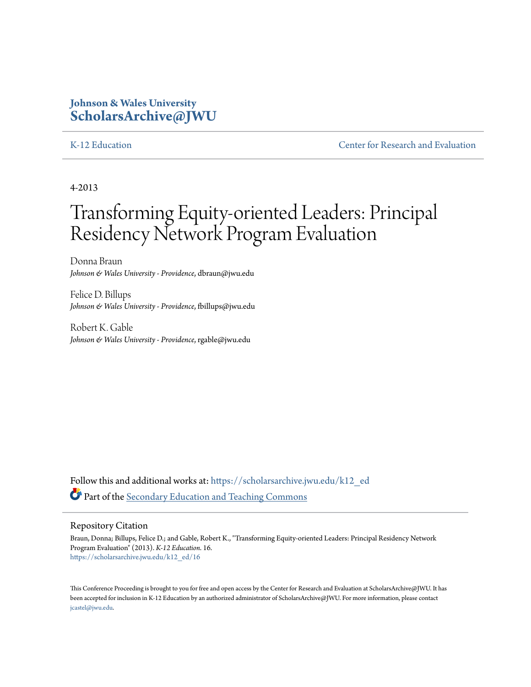# **Johnson & Wales University [ScholarsArchive@JWU](https://scholarsarchive.jwu.edu?utm_source=scholarsarchive.jwu.edu%2Fk12_ed%2F16&utm_medium=PDF&utm_campaign=PDFCoverPages)**

[K-12 Education](https://scholarsarchive.jwu.edu/k12_ed?utm_source=scholarsarchive.jwu.edu%2Fk12_ed%2F16&utm_medium=PDF&utm_campaign=PDFCoverPages) [Center for Research and Evaluation](https://scholarsarchive.jwu.edu/research?utm_source=scholarsarchive.jwu.edu%2Fk12_ed%2F16&utm_medium=PDF&utm_campaign=PDFCoverPages)

4-2013

# Transforming Equity-oriented Leaders: Principal Residency Network Program Evaluation

Donna Braun *Johnson & Wales University - Providence*, dbraun@jwu.edu

Felice D. Billups *Johnson & Wales University - Providence*, fbillups@jwu.edu

Robert K. Gable *Johnson & Wales University - Providence*, rgable@jwu.edu

Follow this and additional works at: [https://scholarsarchive.jwu.edu/k12\\_ed](https://scholarsarchive.jwu.edu/k12_ed?utm_source=scholarsarchive.jwu.edu%2Fk12_ed%2F16&utm_medium=PDF&utm_campaign=PDFCoverPages) Part of the [Secondary Education and Teaching Commons](http://network.bepress.com/hgg/discipline/809?utm_source=scholarsarchive.jwu.edu%2Fk12_ed%2F16&utm_medium=PDF&utm_campaign=PDFCoverPages)

#### Repository Citation

Braun, Donna; Billups, Felice D.; and Gable, Robert K., "Transforming Equity-oriented Leaders: Principal Residency Network Program Evaluation" (2013). *K-12 Education*. 16. [https://scholarsarchive.jwu.edu/k12\\_ed/16](https://scholarsarchive.jwu.edu/k12_ed/16?utm_source=scholarsarchive.jwu.edu%2Fk12_ed%2F16&utm_medium=PDF&utm_campaign=PDFCoverPages)

This Conference Proceeding is brought to you for free and open access by the Center for Research and Evaluation at ScholarsArchive@JWU. It has been accepted for inclusion in K-12 Education by an authorized administrator of ScholarsArchive@JWU. For more information, please contact [jcastel@jwu.edu.](mailto:jcastel@jwu.edu)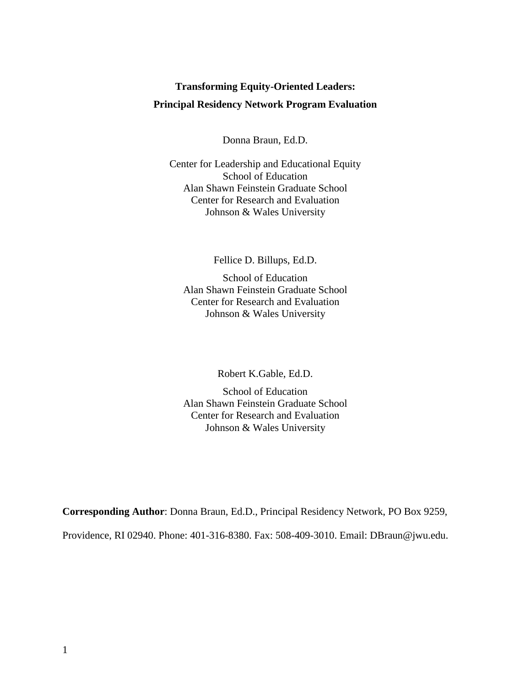# **Transforming Equity-Oriented Leaders: Principal Residency Network Program Evaluation**

Donna Braun, Ed.D.

Center for Leadership and Educational Equity School of Education Alan Shawn Feinstein Graduate School Center for Research and Evaluation Johnson & Wales University

Fellice D. Billups, Ed.D.

School of Education Alan Shawn Feinstein Graduate School Center for Research and Evaluation Johnson & Wales University

Robert K.Gable, Ed.D.

School of Education Alan Shawn Feinstein Graduate School Center for Research and Evaluation Johnson & Wales University

**Corresponding Author**: Donna Braun, Ed.D., Principal Residency Network, PO Box 9259,

Providence, RI 02940. Phone: 401-316-8380. Fax: 508-409-3010. Email: DBraun@jwu.edu.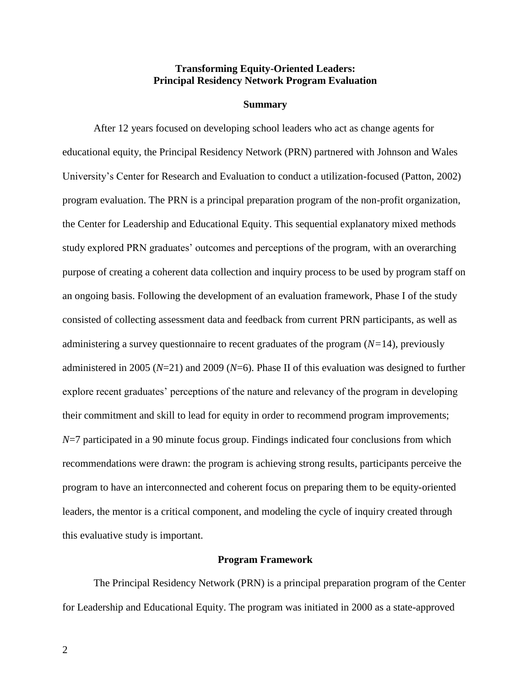# **Transforming Equity-Oriented Leaders: Principal Residency Network Program Evaluation**

#### **Summary**

After 12 years focused on developing school leaders who act as change agents for educational equity, the Principal Residency Network (PRN) partnered with Johnson and Wales University's Center for Research and Evaluation to conduct a utilization-focused (Patton, 2002) program evaluation. The PRN is a principal preparation program of the non-profit organization, the Center for Leadership and Educational Equity. This sequential explanatory mixed methods study explored PRN graduates' outcomes and perceptions of the program, with an overarching purpose of creating a coherent data collection and inquiry process to be used by program staff on an ongoing basis. Following the development of an evaluation framework, Phase I of the study consisted of collecting assessment data and feedback from current PRN participants, as well as administering a survey questionnaire to recent graduates of the program (*N=*14), previously administered in 2005 (*N*=21) and 2009 (*N*=6). Phase II of this evaluation was designed to further explore recent graduates' perceptions of the nature and relevancy of the program in developing their commitment and skill to lead for equity in order to recommend program improvements; *N*=7 participated in a 90 minute focus group. Findings indicated four conclusions from which recommendations were drawn: the program is achieving strong results, participants perceive the program to have an interconnected and coherent focus on preparing them to be equity-oriented leaders, the mentor is a critical component, and modeling the cycle of inquiry created through this evaluative study is important.

#### **Program Framework**

The Principal Residency Network (PRN) is a principal preparation program of the Center for Leadership and Educational Equity. The program was initiated in 2000 as a state-approved

2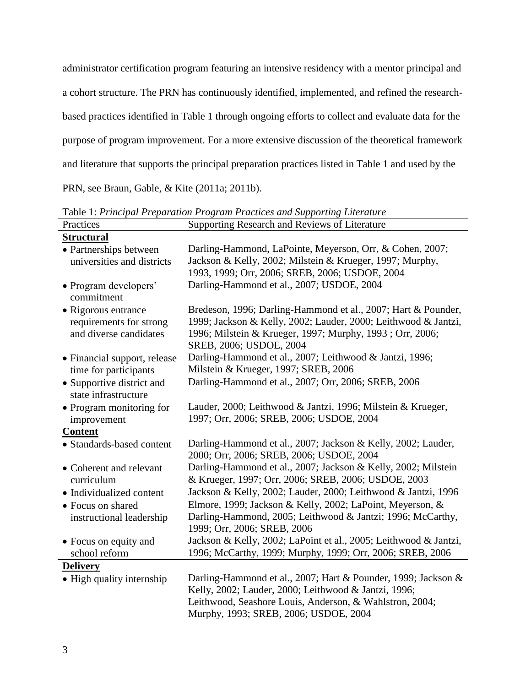administrator certification program featuring an intensive residency with a mentor principal and a cohort structure. The PRN has continuously identified, implemented, and refined the researchbased practices identified in Table 1 through ongoing efforts to collect and evaluate data for the purpose of program improvement. For a more extensive discussion of the theoretical framework and literature that supports the principal preparation practices listed in Table 1 and used by the

PRN, see Braun, Gable, & Kite (2011a; 2011b).

| Practices                                                                | Supporting Research and Reviews of Literature                                                                                                                                                                             |
|--------------------------------------------------------------------------|---------------------------------------------------------------------------------------------------------------------------------------------------------------------------------------------------------------------------|
| <b>Structural</b>                                                        |                                                                                                                                                                                                                           |
| • Partnerships between<br>universities and districts                     | Darling-Hammond, LaPointe, Meyerson, Orr, & Cohen, 2007;<br>Jackson & Kelly, 2002; Milstein & Krueger, 1997; Murphy,<br>1993, 1999; Orr, 2006; SREB, 2006; USDOE, 2004                                                    |
| • Program developers'<br>commitment                                      | Darling-Hammond et al., 2007; USDOE, 2004                                                                                                                                                                                 |
| • Rigorous entrance<br>requirements for strong<br>and diverse candidates | Bredeson, 1996; Darling-Hammond et al., 2007; Hart & Pounder,<br>1999; Jackson & Kelly, 2002; Lauder, 2000; Leithwood & Jantzi,<br>1996; Milstein & Krueger, 1997; Murphy, 1993; Orr, 2006;<br>SREB, 2006; USDOE, 2004    |
| • Financial support, release<br>time for participants                    | Darling-Hammond et al., 2007; Leithwood & Jantzi, 1996;<br>Milstein & Krueger, 1997; SREB, 2006                                                                                                                           |
| • Supportive district and<br>state infrastructure                        | Darling-Hammond et al., 2007; Orr, 2006; SREB, 2006                                                                                                                                                                       |
| • Program monitoring for<br>improvement                                  | Lauder, 2000; Leithwood & Jantzi, 1996; Milstein & Krueger,<br>1997; Orr, 2006; SREB, 2006; USDOE, 2004                                                                                                                   |
| <b>Content</b>                                                           |                                                                                                                                                                                                                           |
| · Standards-based content                                                | Darling-Hammond et al., 2007; Jackson & Kelly, 2002; Lauder,<br>2000; Orr, 2006; SREB, 2006; USDOE, 2004                                                                                                                  |
| • Coherent and relevant<br>curriculum                                    | Darling-Hammond et al., 2007; Jackson & Kelly, 2002; Milstein<br>& Krueger, 1997; Orr, 2006; SREB, 2006; USDOE, 2003                                                                                                      |
| • Individualized content                                                 | Jackson & Kelly, 2002; Lauder, 2000; Leithwood & Jantzi, 1996                                                                                                                                                             |
| • Focus on shared                                                        | Elmore, 1999; Jackson & Kelly, 2002; LaPoint, Meyerson, &                                                                                                                                                                 |
| instructional leadership                                                 | Darling-Hammond, 2005; Leithwood & Jantzi; 1996; McCarthy,<br>1999; Orr, 2006; SREB, 2006                                                                                                                                 |
| • Focus on equity and<br>school reform                                   | Jackson & Kelly, 2002; LaPoint et al., 2005; Leithwood & Jantzi,<br>1996; McCarthy, 1999; Murphy, 1999; Orr, 2006; SREB, 2006                                                                                             |
| <b>Delivery</b>                                                          |                                                                                                                                                                                                                           |
| • High quality internship                                                | Darling-Hammond et al., 2007; Hart & Pounder, 1999; Jackson &<br>Kelly, 2002; Lauder, 2000; Leithwood & Jantzi, 1996;<br>Leithwood, Seashore Louis, Anderson, & Wahlstron, 2004;<br>Murphy, 1993; SREB, 2006; USDOE, 2004 |

Table 1: *Principal Preparation Program Practices and Supporting Literature*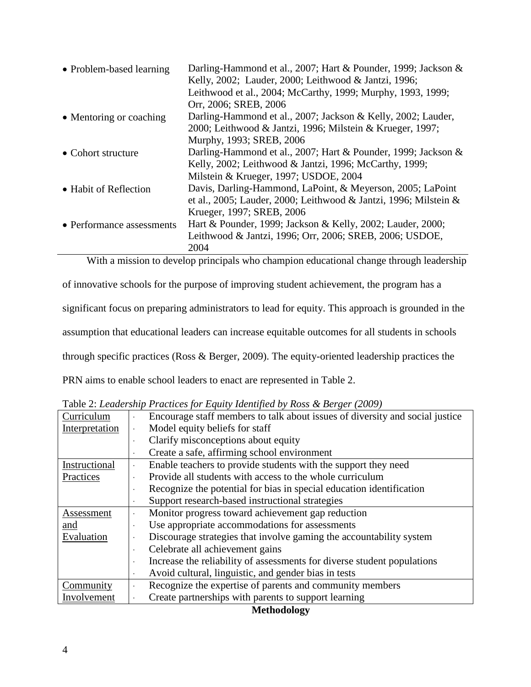| • Problem-based learning  | Darling-Hammond et al., 2007; Hart & Pounder, 1999; Jackson &<br>Kelly, 2002; Lauder, 2000; Leithwood & Jantzi, 1996;<br>Leithwood et al., 2004; McCarthy, 1999; Murphy, 1993, 1999; |
|---------------------------|--------------------------------------------------------------------------------------------------------------------------------------------------------------------------------------|
|                           | Orr, 2006; SREB, 2006                                                                                                                                                                |
| • Mentoring or coaching   | Darling-Hammond et al., 2007; Jackson & Kelly, 2002; Lauder,                                                                                                                         |
|                           | 2000; Leithwood & Jantzi, 1996; Milstein & Krueger, 1997;                                                                                                                            |
|                           | Murphy, 1993; SREB, 2006                                                                                                                                                             |
| • Cohort structure        | Darling-Hammond et al., 2007; Hart & Pounder, 1999; Jackson &                                                                                                                        |
|                           | Kelly, 2002; Leithwood & Jantzi, 1996; McCarthy, 1999;                                                                                                                               |
|                           | Milstein & Krueger, 1997; USDOE, 2004                                                                                                                                                |
| • Habit of Reflection     | Davis, Darling-Hammond, LaPoint, & Meyerson, 2005; LaPoint                                                                                                                           |
|                           | et al., 2005; Lauder, 2000; Leithwood & Jantzi, 1996; Milstein &                                                                                                                     |
|                           | Krueger, 1997; SREB, 2006                                                                                                                                                            |
| • Performance assessments | Hart & Pounder, 1999; Jackson & Kelly, 2002; Lauder, 2000;                                                                                                                           |
|                           | Leithwood & Jantzi, 1996; Orr, 2006; SREB, 2006; USDOE,                                                                                                                              |
|                           | 2004                                                                                                                                                                                 |

With a mission to develop principals who champion educational change through leadership

of innovative schools for the purpose of improving student achievement, the program has a

significant focus on preparing administrators to lead for equity. This approach is grounded in the

assumption that educational leaders can increase equitable outcomes for all students in schools

through specific practices (Ross & Berger, 2009). The equity-oriented leadership practices the

PRN aims to enable school leaders to enact are represented in Table 2.

| Curriculum     | Encourage staff members to talk about issues of diversity and social justice |
|----------------|------------------------------------------------------------------------------|
| Interpretation | Model equity beliefs for staff                                               |
|                | Clarify misconceptions about equity                                          |
|                | Create a safe, affirming school environment                                  |
| Instructional  | Enable teachers to provide students with the support they need<br>$\bullet$  |
| Practices      | Provide all students with access to the whole curriculum                     |
|                | Recognize the potential for bias in special education identification         |
|                | Support research-based instructional strategies                              |
| Assessment     | Monitor progress toward achievement gap reduction                            |
| and            | Use appropriate accommodations for assessments                               |
| Evaluation     | Discourage strategies that involve gaming the accountability system          |
|                | Celebrate all achievement gains<br>$\ddot{\phantom{0}}$                      |
|                | Increase the reliability of assessments for diverse student populations      |
|                | Avoid cultural, linguistic, and gender bias in tests                         |
| Community      | Recognize the expertise of parents and community members<br>$\blacksquare$   |
| Involvement    | Create partnerships with parents to support learning                         |

Table 2: *Leadership Practices for Equity Identified by Ross & Berger (2009)*

**Methodology**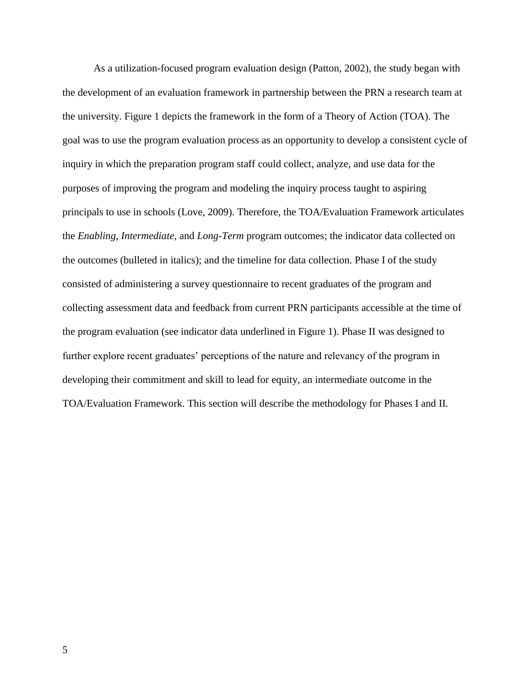As a utilization-focused program evaluation design (Patton, 2002), the study began with the development of an evaluation framework in partnership between the PRN a research team at the university. Figure 1 depicts the framework in the form of a Theory of Action (TOA). The goal was to use the program evaluation process as an opportunity to develop a consistent cycle of inquiry in which the preparation program staff could collect, analyze, and use data for the purposes of improving the program and modeling the inquiry process taught to aspiring principals to use in schools (Love, 2009). Therefore, the TOA/Evaluation Framework articulates the *Enabling*, *Intermediate*, and *Long-Term* program outcomes; the indicator data collected on the outcomes (bulleted in italics); and the timeline for data collection. Phase I of the study consisted of administering a survey questionnaire to recent graduates of the program and collecting assessment data and feedback from current PRN participants accessible at the time of the program evaluation (see indicator data underlined in Figure 1). Phase II was designed to further explore recent graduates' perceptions of the nature and relevancy of the program in developing their commitment and skill to lead for equity, an intermediate outcome in the TOA/Evaluation Framework. This section will describe the methodology for Phases I and II.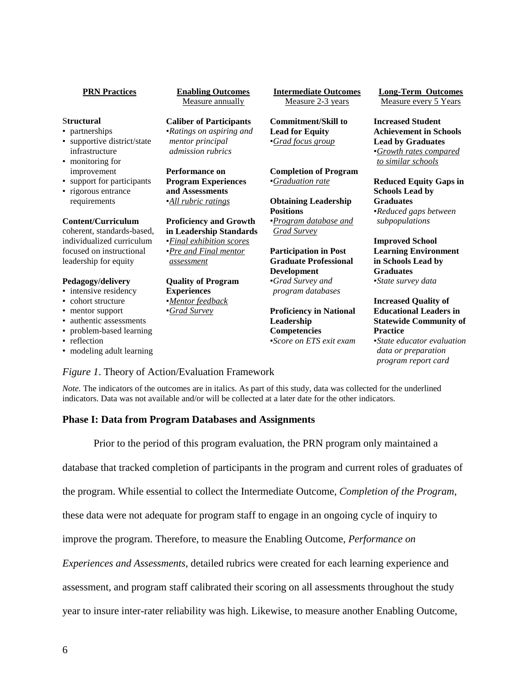| <b>PRN Practices</b>                          | <b>Enabling Outcomes</b><br>Measure annually    | <b>Intermediate Outcomes</b><br>Measure 2-3 years | <b>Long-Term Outcomes</b><br>Measure every 5 Years                       |
|-----------------------------------------------|-------------------------------------------------|---------------------------------------------------|--------------------------------------------------------------------------|
| <b>Structural</b>                             | <b>Caliber of Participants</b>                  | <b>Commitment/Skill to</b>                        | <b>Increased Student</b>                                                 |
| • partnerships                                | •Ratings on aspiring and                        | <b>Lead for Equity</b>                            | <b>Achievement in Schools</b>                                            |
| • supportive district/state<br>infrastructure | mentor principal<br><i>admission rubrics</i>    | <i>•Grad focus group</i>                          | <b>Lead by Graduates</b><br><i><u><b>Growth rates compared</b></u></i>   |
| • monitoring for                              |                                                 |                                                   | to similar schools                                                       |
| improvement<br>• support for participants     | Performance on                                  | <b>Completion of Program</b>                      |                                                                          |
| • rigorous entrance                           | <b>Program Experiences</b><br>and Assessments   | •Graduation rate                                  | <b>Reduced Equity Gaps in</b><br><b>Schools Lead by</b>                  |
| requirements                                  | ·All rubric ratings                             | <b>Obtaining Leadership</b>                       | <b>Graduates</b>                                                         |
|                                               |                                                 | <b>Positions</b>                                  | •Reduced gaps between                                                    |
| Content/Curriculum                            | <b>Proficiency and Growth</b>                   | •Program database and                             | subpopulations                                                           |
| coherent, standards-based,                    | in Leadership Standards                         | <b>Grad Survey</b>                                |                                                                          |
| individualized curriculum                     | • Final exhibition scores                       |                                                   | <b>Improved School</b>                                                   |
| focused on instructional                      | <i>•Pre and Final mentor</i>                    | <b>Participation in Post</b>                      | <b>Learning Environment</b>                                              |
| leadership for equity                         | assessment                                      | <b>Graduate Professional</b>                      | in Schools Lead by                                                       |
|                                               |                                                 | <b>Development</b>                                | <b>Graduates</b>                                                         |
| Pedagogy/delivery<br>• intensive residency    | <b>Quality of Program</b><br><b>Experiences</b> | •Grad Survey and<br>program databases             | •State survey data                                                       |
| • cohort structure                            | ·Mentor feedback                                |                                                   | <b>Increased Quality of</b>                                              |
| • mentor support                              | •Grad Survey                                    | <b>Proficiency in National</b>                    | <b>Educational Leaders in</b>                                            |
| • authentic assessments                       |                                                 | Leadership                                        | <b>Statewide Community of</b>                                            |
| • problem-based learning                      |                                                 | Competencies                                      | <b>Practice</b>                                                          |
| • reflection<br>• modeling adult learning     |                                                 | <i>Score on ETS exit exam</i>                     | •State educator evaluation<br>data or preparation<br>program report card |
|                                               | Figure 1. Theory of Action/Evaluation Framework |                                                   |                                                                          |

*Note*. The indicators of the outcomes are in italics. As part of this study, data was collected for the underlined indicators. Data was not available and/or will be collected at a later date for the other indicators.

# **Phase I: Data from Program Databases and Assignments**

Prior to the period of this program evaluation, the PRN program only maintained a

database that tracked completion of participants in the program and current roles of graduates of

the program. While essential to collect the Intermediate Outcome, *Completion of the Program*,

these data were not adequate for program staff to engage in an ongoing cycle of inquiry to

improve the program. Therefore, to measure the Enabling Outcome, *Performance on* 

*Experiences and Assessments*, detailed rubrics were created for each learning experience and

assessment, and program staff calibrated their scoring on all assessments throughout the study

year to insure inter-rater reliability was high. Likewise, to measure another Enabling Outcome,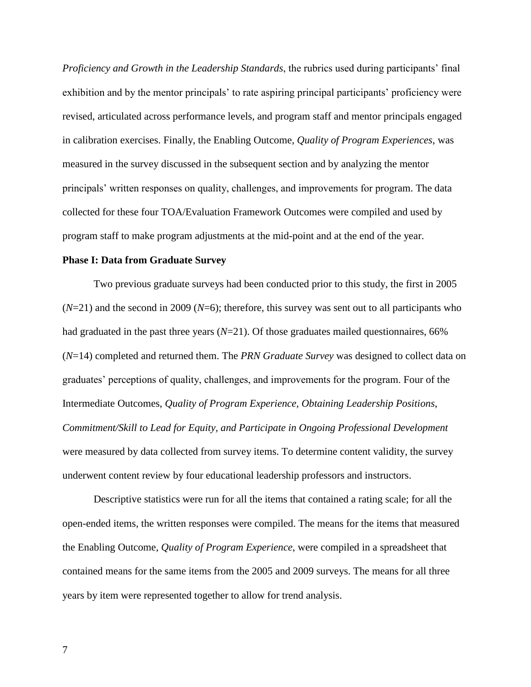*Proficiency and Growth in the Leadership Standards*, the rubrics used during participants' final exhibition and by the mentor principals' to rate aspiring principal participants' proficiency were revised, articulated across performance levels, and program staff and mentor principals engaged in calibration exercises. Finally, the Enabling Outcome, *Quality of Program Experiences*, was measured in the survey discussed in the subsequent section and by analyzing the mentor principals' written responses on quality, challenges, and improvements for program. The data collected for these four TOA/Evaluation Framework Outcomes were compiled and used by program staff to make program adjustments at the mid-point and at the end of the year.

#### **Phase I: Data from Graduate Survey**

Two previous graduate surveys had been conducted prior to this study, the first in 2005 (*N*=21) and the second in 2009 (*N*=6); therefore, this survey was sent out to all participants who had graduated in the past three years (*N*=21). Of those graduates mailed questionnaires, 66% (*N*=14) completed and returned them. The *PRN Graduate Survey* was designed to collect data on graduates' perceptions of quality, challenges, and improvements for the program. Four of the Intermediate Outcomes, *Quality of Program Experience, Obtaining Leadership Positions, Commitment/Skill to Lead for Equity, and Participate in Ongoing Professional Development* were measured by data collected from survey items. To determine content validity, the survey underwent content review by four educational leadership professors and instructors.

Descriptive statistics were run for all the items that contained a rating scale; for all the open-ended items, the written responses were compiled. The means for the items that measured the Enabling Outcome, *Quality of Program Experience*, were compiled in a spreadsheet that contained means for the same items from the 2005 and 2009 surveys. The means for all three years by item were represented together to allow for trend analysis.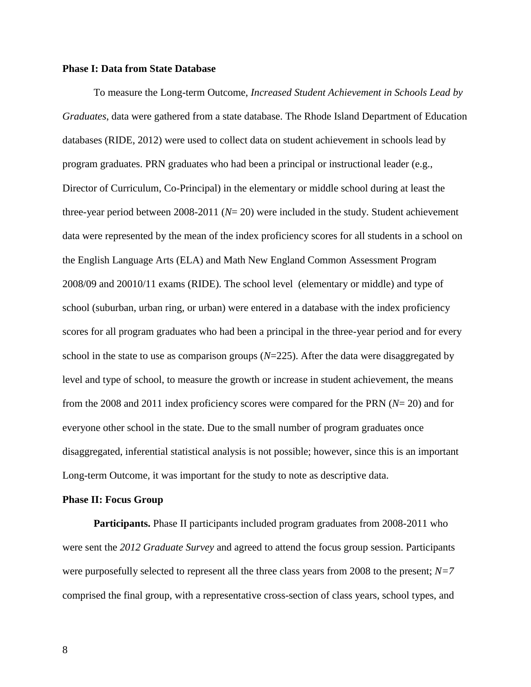#### **Phase I: Data from State Database**

To measure the Long-term Outcome, *Increased Student Achievement in Schools Lead by Graduates*, data were gathered from a state database. The Rhode Island Department of Education databases (RIDE, 2012) were used to collect data on student achievement in schools lead by program graduates. PRN graduates who had been a principal or instructional leader (e.g., Director of Curriculum, Co-Principal) in the elementary or middle school during at least the three-year period between 2008-2011 (*N*= 20) were included in the study. Student achievement data were represented by the mean of the index proficiency scores for all students in a school on the English Language Arts (ELA) and Math New England Common Assessment Program 2008/09 and 20010/11 exams (RIDE). The school level (elementary or middle) and type of school (suburban, urban ring, or urban) were entered in a database with the index proficiency scores for all program graduates who had been a principal in the three-year period and for every school in the state to use as comparison groups (*N*=225). After the data were disaggregated by level and type of school, to measure the growth or increase in student achievement, the means from the 2008 and 2011 index proficiency scores were compared for the PRN (*N*= 20) and for everyone other school in the state. Due to the small number of program graduates once disaggregated, inferential statistical analysis is not possible; however, since this is an important Long-term Outcome, it was important for the study to note as descriptive data.

#### **Phase II: Focus Group**

**Participants.** Phase II participants included program graduates from 2008-2011 who were sent the *2012 Graduate Survey* and agreed to attend the focus group session. Participants were purposefully selected to represent all the three class years from 2008 to the present; *N=7* comprised the final group, with a representative cross-section of class years, school types, and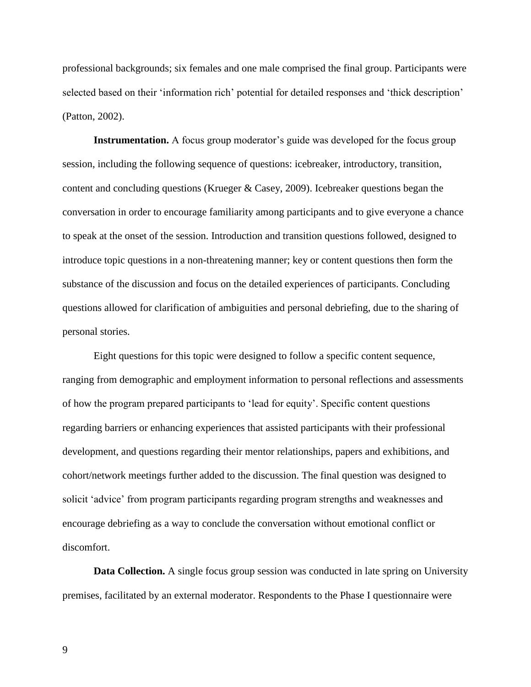professional backgrounds; six females and one male comprised the final group. Participants were selected based on their 'information rich' potential for detailed responses and 'thick description' (Patton, 2002).

**Instrumentation.** A focus group moderator's guide was developed for the focus group session, including the following sequence of questions: icebreaker, introductory, transition, content and concluding questions (Krueger & Casey, 2009). Icebreaker questions began the conversation in order to encourage familiarity among participants and to give everyone a chance to speak at the onset of the session. Introduction and transition questions followed, designed to introduce topic questions in a non-threatening manner; key or content questions then form the substance of the discussion and focus on the detailed experiences of participants. Concluding questions allowed for clarification of ambiguities and personal debriefing, due to the sharing of personal stories.

Eight questions for this topic were designed to follow a specific content sequence, ranging from demographic and employment information to personal reflections and assessments of how the program prepared participants to 'lead for equity'. Specific content questions regarding barriers or enhancing experiences that assisted participants with their professional development, and questions regarding their mentor relationships, papers and exhibitions, and cohort/network meetings further added to the discussion. The final question was designed to solicit 'advice' from program participants regarding program strengths and weaknesses and encourage debriefing as a way to conclude the conversation without emotional conflict or discomfort.

**Data Collection.** A single focus group session was conducted in late spring on University premises, facilitated by an external moderator. Respondents to the Phase I questionnaire were

9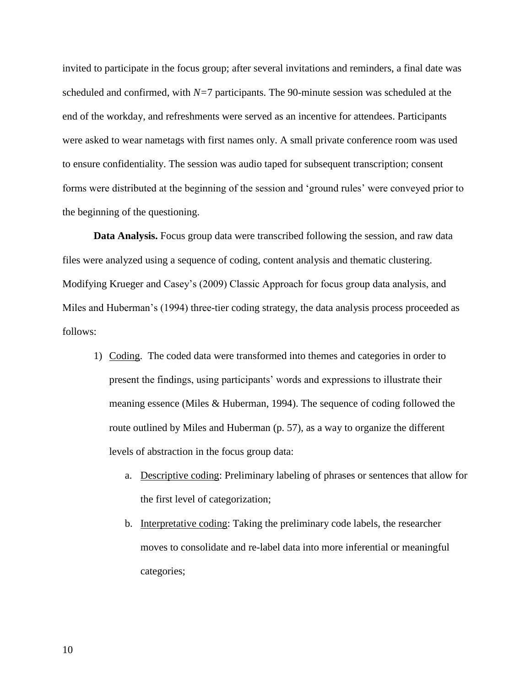invited to participate in the focus group; after several invitations and reminders, a final date was scheduled and confirmed, with *N=*7 participants. The 90-minute session was scheduled at the end of the workday, and refreshments were served as an incentive for attendees. Participants were asked to wear nametags with first names only. A small private conference room was used to ensure confidentiality. The session was audio taped for subsequent transcription; consent forms were distributed at the beginning of the session and 'ground rules' were conveyed prior to the beginning of the questioning.

**Data Analysis.** Focus group data were transcribed following the session, and raw data files were analyzed using a sequence of coding, content analysis and thematic clustering. Modifying Krueger and Casey's (2009) Classic Approach for focus group data analysis, and Miles and Huberman's (1994) three-tier coding strategy, the data analysis process proceeded as follows:

- 1) Coding. The coded data were transformed into themes and categories in order to present the findings, using participants' words and expressions to illustrate their meaning essence (Miles & Huberman, 1994). The sequence of coding followed the route outlined by Miles and Huberman (p. 57), as a way to organize the different levels of abstraction in the focus group data:
	- a. Descriptive coding: Preliminary labeling of phrases or sentences that allow for the first level of categorization;
	- b. Interpretative coding: Taking the preliminary code labels, the researcher moves to consolidate and re-label data into more inferential or meaningful categories;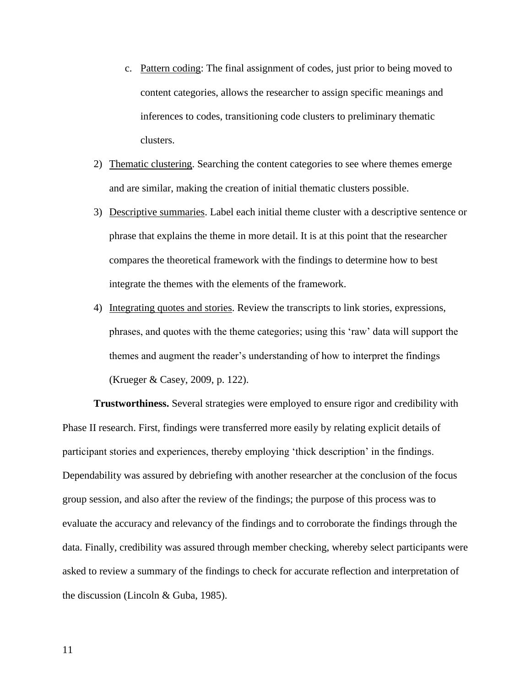- c. Pattern coding: The final assignment of codes, just prior to being moved to content categories, allows the researcher to assign specific meanings and inferences to codes, transitioning code clusters to preliminary thematic clusters.
- 2) Thematic clustering. Searching the content categories to see where themes emerge and are similar, making the creation of initial thematic clusters possible.
- 3) Descriptive summaries. Label each initial theme cluster with a descriptive sentence or phrase that explains the theme in more detail. It is at this point that the researcher compares the theoretical framework with the findings to determine how to best integrate the themes with the elements of the framework.
- 4) Integrating quotes and stories. Review the transcripts to link stories, expressions, phrases, and quotes with the theme categories; using this 'raw' data will support the themes and augment the reader's understanding of how to interpret the findings (Krueger & Casey, 2009, p. 122).

**Trustworthiness.** Several strategies were employed to ensure rigor and credibility with Phase II research. First, findings were transferred more easily by relating explicit details of participant stories and experiences, thereby employing 'thick description' in the findings. Dependability was assured by debriefing with another researcher at the conclusion of the focus group session, and also after the review of the findings; the purpose of this process was to evaluate the accuracy and relevancy of the findings and to corroborate the findings through the data. Finally, credibility was assured through member checking, whereby select participants were asked to review a summary of the findings to check for accurate reflection and interpretation of the discussion (Lincoln & Guba, 1985).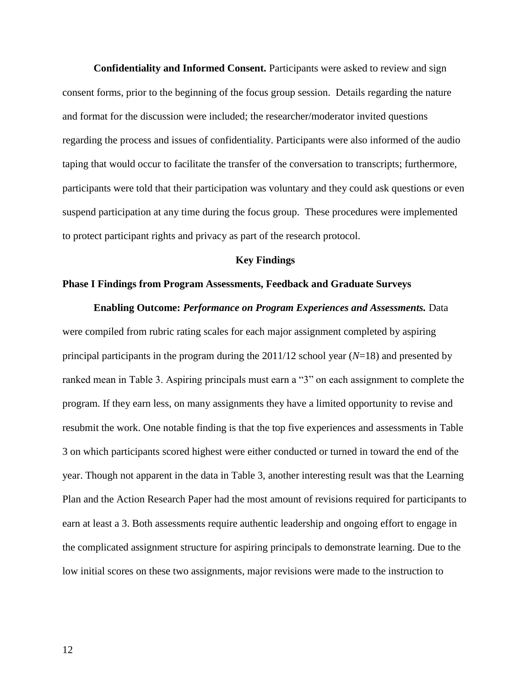**Confidentiality and Informed Consent.** Participants were asked to review and sign consent forms, prior to the beginning of the focus group session. Details regarding the nature and format for the discussion were included; the researcher/moderator invited questions regarding the process and issues of confidentiality. Participants were also informed of the audio taping that would occur to facilitate the transfer of the conversation to transcripts; furthermore, participants were told that their participation was voluntary and they could ask questions or even suspend participation at any time during the focus group. These procedures were implemented to protect participant rights and privacy as part of the research protocol.

#### **Key Findings**

#### **Phase I Findings from Program Assessments, Feedback and Graduate Surveys**

**Enabling Outcome:** *Performance on Program Experiences and Assessments.* Data were compiled from rubric rating scales for each major assignment completed by aspiring principal participants in the program during the 2011/12 school year (*N*=18) and presented by ranked mean in Table 3. Aspiring principals must earn a "3" on each assignment to complete the program. If they earn less, on many assignments they have a limited opportunity to revise and resubmit the work. One notable finding is that the top five experiences and assessments in Table 3 on which participants scored highest were either conducted or turned in toward the end of the year. Though not apparent in the data in Table 3, another interesting result was that the Learning Plan and the Action Research Paper had the most amount of revisions required for participants to earn at least a 3. Both assessments require authentic leadership and ongoing effort to engage in the complicated assignment structure for aspiring principals to demonstrate learning. Due to the low initial scores on these two assignments, major revisions were made to the instruction to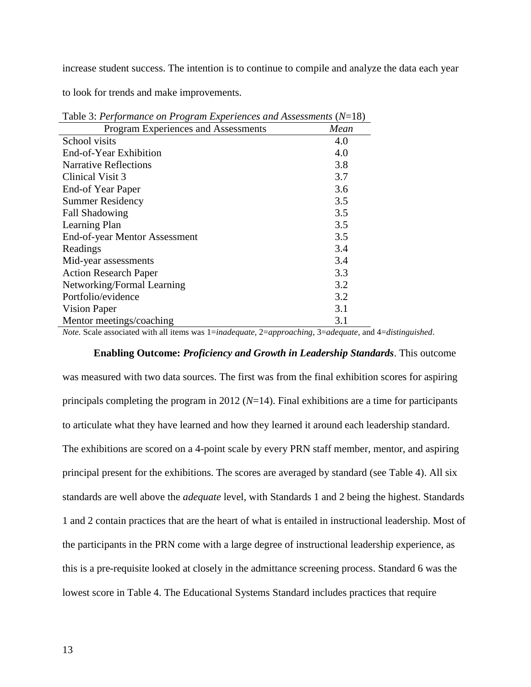increase student success. The intention is to continue to compile and analyze the data each year

to look for trends and make improvements.

| $\bm{\mathsf{\circ}}$               |      |
|-------------------------------------|------|
| Program Experiences and Assessments | Mean |
| School visits                       | 4.0  |
| End-of-Year Exhibition              | 4.0  |
| <b>Narrative Reflections</b>        | 3.8  |
| Clinical Visit 3                    | 3.7  |
| End-of Year Paper                   | 3.6  |
| <b>Summer Residency</b>             | 3.5  |
| <b>Fall Shadowing</b>               | 3.5  |
| Learning Plan                       | 3.5  |
| End-of-year Mentor Assessment       | 3.5  |
| Readings                            | 3.4  |
| Mid-year assessments                | 3.4  |
| <b>Action Research Paper</b>        | 3.3  |
| Networking/Formal Learning          | 3.2  |
| Portfolio/evidence                  | 3.2  |
| Vision Paper                        | 3.1  |
| Mentor meetings/coaching            | 3.1  |

Table 3: *Performance on Program Experiences and Assessments* (*N*=18)

*Note.* Scale associated with all items was 1=*inadequate*, 2=*approaching*, 3=*adequate*, and 4=*distinguished*.

### **Enabling Outcome:** *Proficiency and Growth in Leadership Standards*. This outcome

was measured with two data sources. The first was from the final exhibition scores for aspiring principals completing the program in 2012 (*N*=14). Final exhibitions are a time for participants to articulate what they have learned and how they learned it around each leadership standard. The exhibitions are scored on a 4-point scale by every PRN staff member, mentor, and aspiring principal present for the exhibitions. The scores are averaged by standard (see Table 4). All six standards are well above the *adequate* level, with Standards 1 and 2 being the highest. Standards 1 and 2 contain practices that are the heart of what is entailed in instructional leadership. Most of the participants in the PRN come with a large degree of instructional leadership experience, as this is a pre-requisite looked at closely in the admittance screening process. Standard 6 was the lowest score in Table 4. The Educational Systems Standard includes practices that require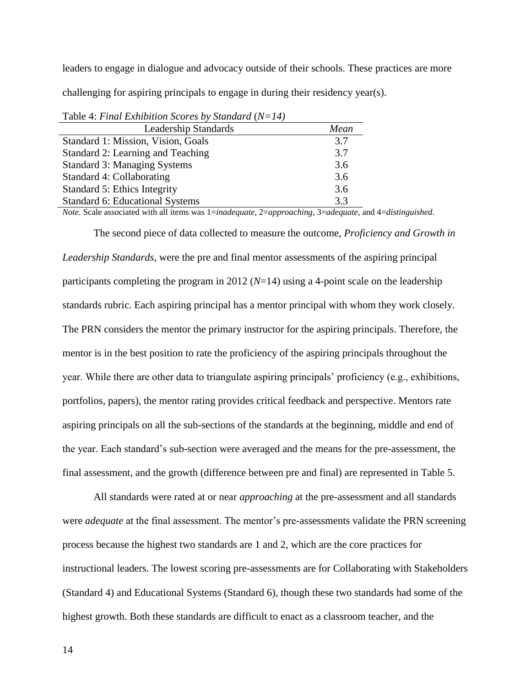leaders to engage in dialogue and advocacy outside of their schools. These practices are more challenging for aspiring principals to engage in during their residency year(s).

| $1.41$ $1.1$ $1.000$ $1.100$ $1.000$ $1.000$ $1.000$ $1.000$ $1.000$ $1.000$ $1.000$ |      |  |  |
|--------------------------------------------------------------------------------------|------|--|--|
| <b>Leadership Standards</b>                                                          | Mean |  |  |
| Standard 1: Mission, Vision, Goals                                                   | 3.7  |  |  |
| Standard 2: Learning and Teaching                                                    | 3.7  |  |  |
| <b>Standard 3: Managing Systems</b>                                                  | 3.6  |  |  |
| Standard 4: Collaborating                                                            | 3.6  |  |  |
| Standard 5: Ethics Integrity                                                         | 3.6  |  |  |
| <b>Standard 6: Educational Systems</b>                                               | 3.3  |  |  |

Table 4: *Final Exhibition Scores by Standard* (*N=14)*

*Note.* Scale associated with all items was 1=*inadequate*, 2=*approaching*, 3=*adequate*, and 4=*distinguished*.

The second piece of data collected to measure the outcome, *Proficiency and Growth in Leadership Standards*, were the pre and final mentor assessments of the aspiring principal participants completing the program in 2012 (*N*=14) using a 4-point scale on the leadership standards rubric. Each aspiring principal has a mentor principal with whom they work closely. The PRN considers the mentor the primary instructor for the aspiring principals. Therefore, the mentor is in the best position to rate the proficiency of the aspiring principals throughout the year. While there are other data to triangulate aspiring principals' proficiency (e.g., exhibitions, portfolios, papers), the mentor rating provides critical feedback and perspective. Mentors rate aspiring principals on all the sub-sections of the standards at the beginning, middle and end of the year. Each standard's sub-section were averaged and the means for the pre-assessment, the final assessment, and the growth (difference between pre and final) are represented in Table 5.

All standards were rated at or near *approaching* at the pre-assessment and all standards were *adequate* at the final assessment. The mentor's pre-assessments validate the PRN screening process because the highest two standards are 1 and 2, which are the core practices for instructional leaders. The lowest scoring pre-assessments are for Collaborating with Stakeholders (Standard 4) and Educational Systems (Standard 6), though these two standards had some of the highest growth. Both these standards are difficult to enact as a classroom teacher, and the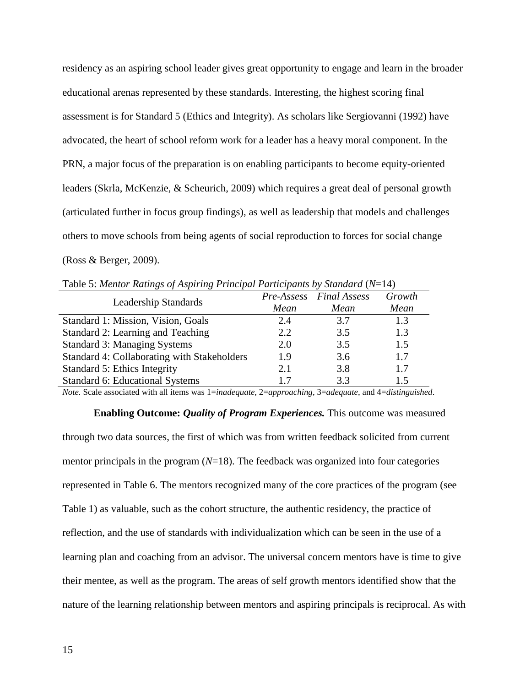residency as an aspiring school leader gives great opportunity to engage and learn in the broader educational arenas represented by these standards. Interesting, the highest scoring final assessment is for Standard 5 (Ethics and Integrity). As scholars like Sergiovanni (1992) have advocated, the heart of school reform work for a leader has a heavy moral component. In the PRN, a major focus of the preparation is on enabling participants to become equity-oriented leaders (Skrla, McKenzie, & Scheurich, 2009) which requires a great deal of personal growth (articulated further in focus group findings), as well as leadership that models and challenges others to move schools from being agents of social reproduction to forces for social change (Ross & Berger, 2009).

| Table 5. Mentor Katings of Aspiring 1 rincipal Fariteipants by Standard (18–14) |      |                         |        |  |  |  |
|---------------------------------------------------------------------------------|------|-------------------------|--------|--|--|--|
| Leadership Standards                                                            |      | Pre-Assess Final Assess | Growth |  |  |  |
|                                                                                 | Mean | Mean                    | Mean   |  |  |  |
| Standard 1: Mission, Vision, Goals                                              | 2.4  | 3.7                     | 1.3    |  |  |  |
| Standard 2: Learning and Teaching                                               | 2.2  | 3.5                     | 1.3    |  |  |  |
| Standard 3: Managing Systems                                                    | 2.0  | 3.5                     | 1.5    |  |  |  |
| Standard 4: Collaborating with Stakeholders                                     | 1.9  | 3.6                     | 1.7    |  |  |  |
| Standard 5: Ethics Integrity                                                    | 2.1  | 3.8                     |        |  |  |  |

Table 5: *Mentor Ratings of Aspiring Principal Participants by Standard* (*N*=14)

*Note.* Scale associated with all items was 1=*inadequate*, 2=*approaching*, 3=*adequate*, and 4=*distinguished*.

Standard 6: Educational Systems 1.7 3.3 1.5

**Enabling Outcome:** *Quality of Program Experiences.* This outcome was measured through two data sources, the first of which was from written feedback solicited from current mentor principals in the program (*N*=18). The feedback was organized into four categories represented in Table 6. The mentors recognized many of the core practices of the program (see Table 1) as valuable, such as the cohort structure, the authentic residency, the practice of reflection, and the use of standards with individualization which can be seen in the use of a learning plan and coaching from an advisor. The universal concern mentors have is time to give their mentee, as well as the program. The areas of self growth mentors identified show that the nature of the learning relationship between mentors and aspiring principals is reciprocal. As with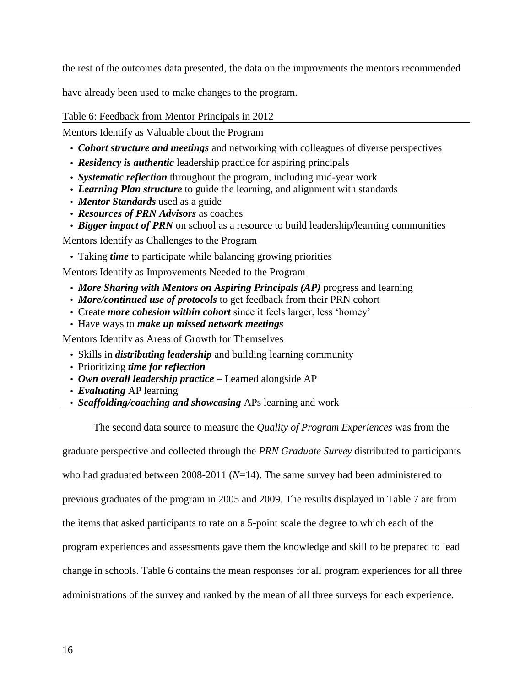the rest of the outcomes data presented, the data on the improvments the mentors recommended

have already been used to make changes to the program.

Table 6: Feedback from Mentor Principals in 2012

Mentors Identify as Valuable about the Program

- *Cohort structure and meetings* and networking with colleagues of diverse perspectives
- *Residency is authentic* leadership practice for aspiring principals
- *Systematic reflection* throughout the program, including mid-year work
- *Learning Plan structure* to guide the learning, and alignment with standards
- *Mentor Standards* used as a guide
- *Resources of PRN Advisors* as coaches
- *Bigger impact of PRN* on school as a resource to build leadership/learning communities

Mentors Identify as Challenges to the Program

• Taking *time* to participate while balancing growing priorities

Mentors Identify as Improvements Needed to the Program

- *More Sharing with Mentors on Aspiring Principals (AP)* progress and learning
- *More/continued use of protocols* to get feedback from their PRN cohort
- Create *more cohesion within cohort* since it feels larger, less 'homey'
- Have ways to *make up missed network meetings*

Mentors Identify as Areas of Growth for Themselves

- Skills in *distributing leadership* and building learning community
- Prioritizing *time for reflection*
- *Own overall leadership practice* Learned alongside AP
- *Evaluating* AP learning
- *Scaffolding/coaching and showcasing* APs learning and work

The second data source to measure the *Quality of Program Experiences* was from the

graduate perspective and collected through the *PRN Graduate Survey* distributed to participants

who had graduated between 2008-2011 (*N*=14). The same survey had been administered to

previous graduates of the program in 2005 and 2009. The results displayed in Table 7 are from

the items that asked participants to rate on a 5-point scale the degree to which each of the

program experiences and assessments gave them the knowledge and skill to be prepared to lead

change in schools. Table 6 contains the mean responses for all program experiences for all three

administrations of the survey and ranked by the mean of all three surveys for each experience.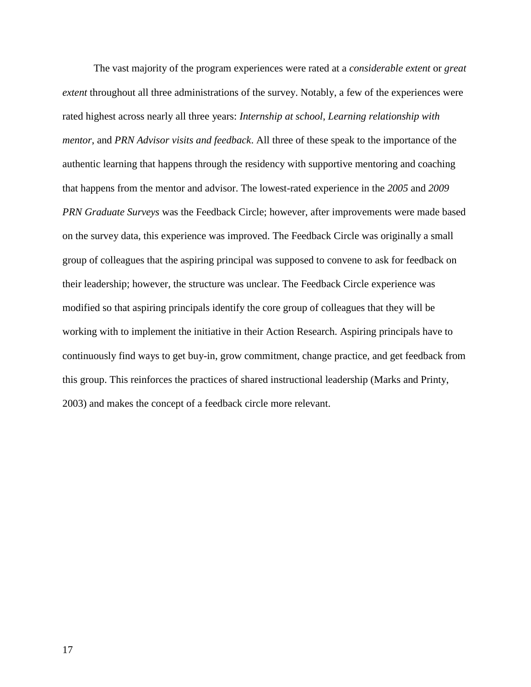The vast majority of the program experiences were rated at a *considerable extent* or *great extent* throughout all three administrations of the survey. Notably, a few of the experiences were rated highest across nearly all three years: *Internship at school*, *Learning relationship with mentor*, and *PRN Advisor visits and feedback*. All three of these speak to the importance of the authentic learning that happens through the residency with supportive mentoring and coaching that happens from the mentor and advisor. The lowest-rated experience in the *2005* and *2009 PRN Graduate Surveys* was the Feedback Circle; however, after improvements were made based on the survey data, this experience was improved. The Feedback Circle was originally a small group of colleagues that the aspiring principal was supposed to convene to ask for feedback on their leadership; however, the structure was unclear. The Feedback Circle experience was modified so that aspiring principals identify the core group of colleagues that they will be working with to implement the initiative in their Action Research. Aspiring principals have to continuously find ways to get buy-in, grow commitment, change practice, and get feedback from this group. This reinforces the practices of shared instructional leadership (Marks and Printy, 2003) and makes the concept of a feedback circle more relevant.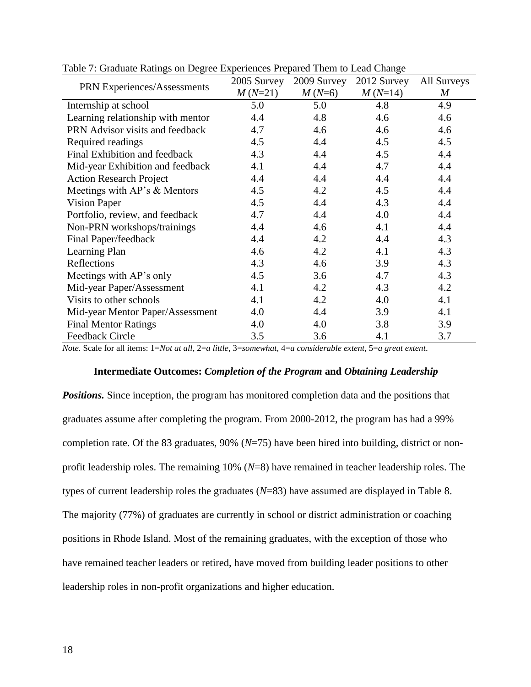| PRN Experiences/Assessments        | 2005 Survey | 2009 Survey | 2012 Survey | All Surveys |
|------------------------------------|-------------|-------------|-------------|-------------|
|                                    | $M(N=21)$   | $M(N=6)$    | $M(N=14)$   | M           |
| Internship at school               | 5.0         | 5.0         | 4.8         | 4.9         |
| Learning relationship with mentor  | 4.4         | 4.8         | 4.6         | 4.6         |
| PRN Advisor visits and feedback    | 4.7         | 4.6         | 4.6         | 4.6         |
| Required readings                  | 4.5         | 4.4         | 4.5         | 4.5         |
| Final Exhibition and feedback      | 4.3         | 4.4         | 4.5         | 4.4         |
| Mid-year Exhibition and feedback   | 4.1         | 4.4         | 4.7         | 4.4         |
| <b>Action Research Project</b>     | 4.4         | 4.4         | 4.4         | 4.4         |
| Meetings with $AP$ 's $\&$ Mentors | 4.5         | 4.2         | 4.5         | 4.4         |
| <b>Vision Paper</b>                | 4.5         | 4.4         | 4.3         | 4.4         |
| Portfolio, review, and feedback    | 4.7         | 4.4         | 4.0         | 4.4         |
| Non-PRN workshops/trainings        | 4.4         | 4.6         | 4.1         | 4.4         |
| Final Paper/feedback               | 4.4         | 4.2         | 4.4         | 4.3         |
| Learning Plan                      | 4.6         | 4.2         | 4.1         | 4.3         |
| Reflections                        | 4.3         | 4.6         | 3.9         | 4.3         |
| Meetings with AP's only            | 4.5         | 3.6         | 4.7         | 4.3         |
| Mid-year Paper/Assessment          | 4.1         | 4.2         | 4.3         | 4.2         |
| Visits to other schools            | 4.1         | 4.2         | 4.0         | 4.1         |
| Mid-year Mentor Paper/Assessment   | 4.0         | 4.4         | 3.9         | 4.1         |
| <b>Final Mentor Ratings</b>        | 4.0         | 4.0         | 3.8         | 3.9         |
| <b>Feedback Circle</b>             | 3.5         | 3.6         | 4.1         | 3.7         |

Table 7: Graduate Ratings on Degree Experiences Prepared Them to Lead Change

*Note.* Scale for all items: 1=*Not at all*, 2=*a little*, 3=*somewhat*, 4=*a considerable extent*, 5=*a great extent*.

#### **Intermediate Outcomes:** *Completion of the Program* **and** *Obtaining Leadership*

**Positions.** Since inception, the program has monitored completion data and the positions that graduates assume after completing the program. From 2000-2012, the program has had a 99% completion rate. Of the 83 graduates, 90% (*N*=75) have been hired into building, district or nonprofit leadership roles. The remaining 10% (*N*=8) have remained in teacher leadership roles. The types of current leadership roles the graduates (*N*=83) have assumed are displayed in Table 8. The majority (77%) of graduates are currently in school or district administration or coaching positions in Rhode Island. Most of the remaining graduates, with the exception of those who have remained teacher leaders or retired, have moved from building leader positions to other leadership roles in non-profit organizations and higher education.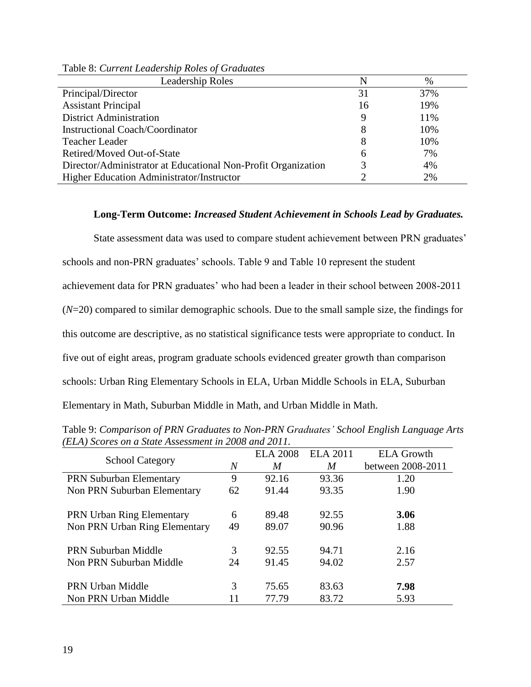| <b>Leadership Roles</b>                                       | N  | $\%$ |
|---------------------------------------------------------------|----|------|
| Principal/Director                                            | 31 | 37%  |
| <b>Assistant Principal</b>                                    | 16 | 19%  |
| <b>District Administration</b>                                |    | 11%  |
| <b>Instructional Coach/Coordinator</b>                        | 8  | 10%  |
| <b>Teacher Leader</b>                                         | 8  | 10%  |
| Retired/Moved Out-of-State                                    | 6  | 7%   |
| Director/Administrator at Educational Non-Profit Organization |    | 4%   |
| Higher Education Administrator/Instructor                     |    | 2%   |

Table 8: *Current Leadership Roles of Graduates*

# **Long-Term Outcome:** *Increased Student Achievement in Schools Lead by Graduates.*

State assessment data was used to compare student achievement between PRN graduates' schools and non-PRN graduates' schools. Table 9 and Table 10 represent the student achievement data for PRN graduates' who had been a leader in their school between 2008-2011 (*N*=20) compared to similar demographic schools. Due to the small sample size, the findings for this outcome are descriptive, as no statistical significance tests were appropriate to conduct. In five out of eight areas, program graduate schools evidenced greater growth than comparison schools: Urban Ring Elementary Schools in ELA, Urban Middle Schools in ELA, Suburban Elementary in Math, Suburban Middle in Math, and Urban Middle in Math.

| <b>School Category</b>           |                | <b>ELA 2008</b> | <b>ELA 2011</b> | <b>ELA Growth</b> |
|----------------------------------|----------------|-----------------|-----------------|-------------------|
|                                  | $\overline{N}$ | M               | M               | between 2008-2011 |
| <b>PRN Suburban Elementary</b>   | 9              | 92.16           | 93.36           | 1.20              |
| Non PRN Suburban Elementary      | 62             | 91.44           | 93.35           | 1.90              |
|                                  |                |                 |                 |                   |
| <b>PRN</b> Urban Ring Elementary | 6              | 89.48           | 92.55           | 3.06              |
| Non PRN Urban Ring Elementary    | 49             | 89.07           | 90.96           | 1.88              |
|                                  |                |                 |                 |                   |
| <b>PRN Suburban Middle</b>       | 3              | 92.55           | 94.71           | 2.16              |
| Non PRN Suburban Middle          | 24             | 91.45           | 94.02           | 2.57              |
|                                  |                |                 |                 |                   |
| <b>PRN Urban Middle</b>          | 3              | 75.65           | 83.63           | 7.98              |
| Non PRN Urban Middle             |                | 77.79           | 83.72           | 5.93              |

Table 9: *Comparison of PRN Graduates to Non-PRN Graduates' School English Language Arts (ELA) Scores on a State Assessment in 2008 and 2011.*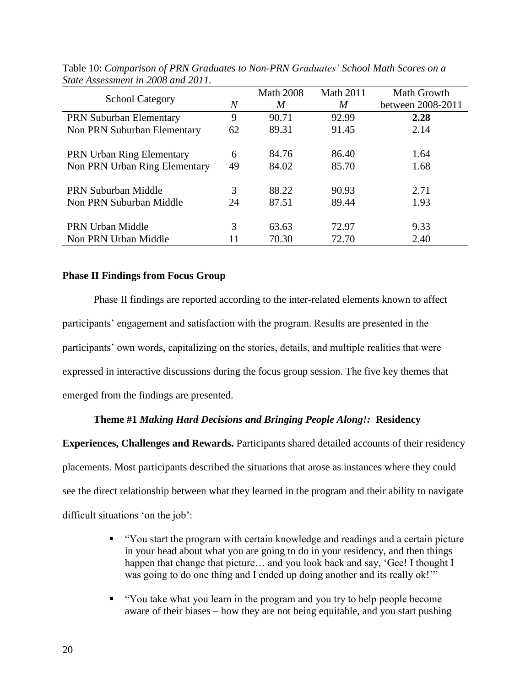|                                  |    | <b>Math 2008</b> | <b>Math 2011</b> | Math Growth       |
|----------------------------------|----|------------------|------------------|-------------------|
| <b>School Category</b>           | N  | M                | M                | between 2008-2011 |
| <b>PRN Suburban Elementary</b>   | 9  | 90.71            | 92.99            | 2.28              |
| Non PRN Suburban Elementary      | 62 | 89.31            | 91.45            | 2.14              |
|                                  |    |                  |                  |                   |
| <b>PRN Urban Ring Elementary</b> | 6  | 84.76            | 86.40            | 1.64              |
| Non PRN Urban Ring Elementary    | 49 | 84.02            | 85.70            | 1.68              |
| <b>PRN Suburban Middle</b>       | 3  | 88.22            | 90.93            | 2.71              |
| Non PRN Suburban Middle          | 24 | 87.51            | 89.44            | 1.93              |
| <b>PRN Urban Middle</b>          | 3  | 63.63            | 72.97            | 9.33              |
|                                  |    |                  |                  |                   |
| Non PRN Urban Middle             | 11 | 70.30            | 72.70            | 2.40              |

Table 10: *Comparison of PRN Graduates to Non-PRN Graduates' School Math Scores on a State Assessment in 2008 and 2011.*

# **Phase II Findings from Focus Group**

Phase II findings are reported according to the inter-related elements known to affect participants' engagement and satisfaction with the program. Results are presented in the participants' own words, capitalizing on the stories, details, and multiple realities that were expressed in interactive discussions during the focus group session. The five key themes that emerged from the findings are presented.

# **Theme #1** *Making Hard Decisions and Bringing People Along!:* **Residency**

**Experiences, Challenges and Rewards.** Participants shared detailed accounts of their residency placements. Most participants described the situations that arose as instances where they could see the direct relationship between what they learned in the program and their ability to navigate difficult situations 'on the job':

- "You start the program with certain knowledge and readings and a certain picture in your head about what you are going to do in your residency, and then things happen that change that picture... and you look back and say, 'Gee! I thought I was going to do one thing and I ended up doing another and its really ok!"
- "You take what you learn in the program and you try to help people become aware of their biases – how they are not being equitable, and you start pushing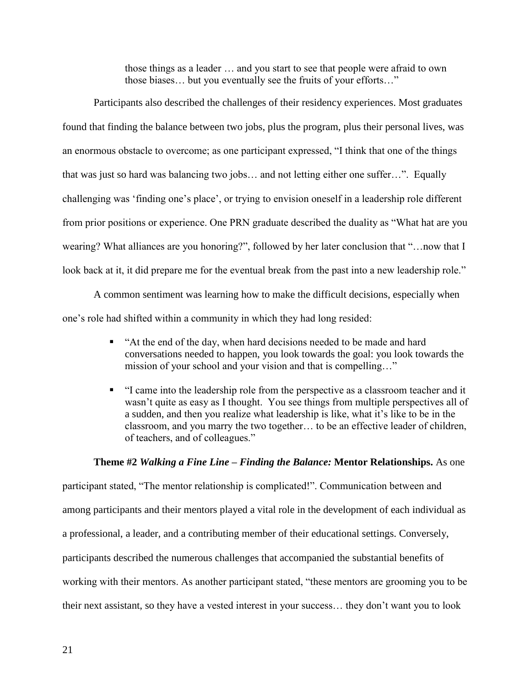those things as a leader … and you start to see that people were afraid to own those biases… but you eventually see the fruits of your efforts…"

Participants also described the challenges of their residency experiences. Most graduates found that finding the balance between two jobs, plus the program, plus their personal lives, was an enormous obstacle to overcome; as one participant expressed, "I think that one of the things that was just so hard was balancing two jobs… and not letting either one suffer…". Equally challenging was 'finding one's place', or trying to envision oneself in a leadership role different from prior positions or experience. One PRN graduate described the duality as "What hat are you wearing? What alliances are you honoring?", followed by her later conclusion that "…now that I look back at it, it did prepare me for the eventual break from the past into a new leadership role."

A common sentiment was learning how to make the difficult decisions, especially when one's role had shifted within a community in which they had long resided:

- "At the end of the day, when hard decisions needed to be made and hard conversations needed to happen, you look towards the goal: you look towards the mission of your school and your vision and that is compelling…"
- "I came into the leadership role from the perspective as a classroom teacher and it wasn't quite as easy as I thought. You see things from multiple perspectives all of a sudden, and then you realize what leadership is like, what it's like to be in the classroom, and you marry the two together… to be an effective leader of children, of teachers, and of colleagues."

# **Theme #2** *Walking a Fine Line – Finding the Balance:* **Mentor Relationships.** As one

participant stated, "The mentor relationship is complicated!". Communication between and among participants and their mentors played a vital role in the development of each individual as a professional, a leader, and a contributing member of their educational settings. Conversely, participants described the numerous challenges that accompanied the substantial benefits of working with their mentors. As another participant stated, "these mentors are grooming you to be their next assistant, so they have a vested interest in your success… they don't want you to look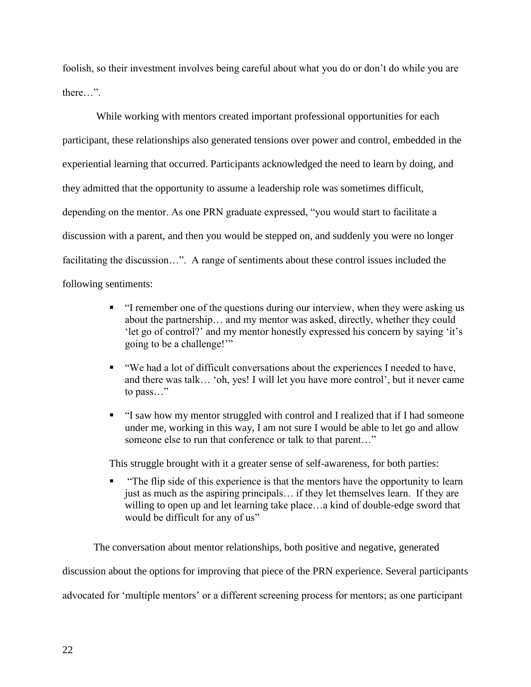foolish, so their investment involves being careful about what you do or don't do while you are there…".

While working with mentors created important professional opportunities for each participant, these relationships also generated tensions over power and control, embedded in the experiential learning that occurred. Participants acknowledged the need to learn by doing, and they admitted that the opportunity to assume a leadership role was sometimes difficult, depending on the mentor. As one PRN graduate expressed, "you would start to facilitate a discussion with a parent, and then you would be stepped on, and suddenly you were no longer facilitating the discussion…". A range of sentiments about these control issues included the following sentiments:

- "I remember one of the questions during our interview, when they were asking us about the partnership… and my mentor was asked, directly, whether they could 'let go of control?' and my mentor honestly expressed his concern by saying 'it's going to be a challenge!'"
- "We had a lot of difficult conversations about the experiences I needed to have, and there was talk… 'oh, yes! I will let you have more control', but it never came to pass…"
- "I saw how my mentor struggled with control and I realized that if I had someone under me, working in this way, I am not sure I would be able to let go and allow someone else to run that conference or talk to that parent…"

This struggle brought with it a greater sense of self-awareness, for both parties:

 "The flip side of this experience is that the mentors have the opportunity to learn just as much as the aspiring principals… if they let themselves learn. If they are willing to open up and let learning take place…a kind of double-edge sword that would be difficult for any of us"

The conversation about mentor relationships, both positive and negative, generated discussion about the options for improving that piece of the PRN experience. Several participants advocated for 'multiple mentors' or a different screening process for mentors; as one participant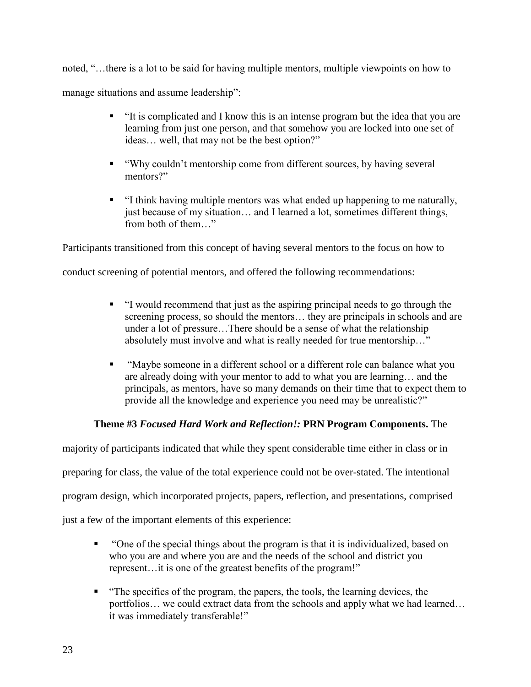noted, "…there is a lot to be said for having multiple mentors, multiple viewpoints on how to manage situations and assume leadership":

- "It is complicated and I know this is an intense program but the idea that you are learning from just one person, and that somehow you are locked into one set of ideas… well, that may not be the best option?"
- "Why couldn't mentorship come from different sources, by having several mentors?"
- "I think having multiple mentors was what ended up happening to me naturally, just because of my situation… and I learned a lot, sometimes different things, from both of them…"

Participants transitioned from this concept of having several mentors to the focus on how to

conduct screening of potential mentors, and offered the following recommendations:

- "I would recommend that just as the aspiring principal needs to go through the screening process, so should the mentors… they are principals in schools and are under a lot of pressure…There should be a sense of what the relationship absolutely must involve and what is really needed for true mentorship…"
- "Maybe someone in a different school or a different role can balance what you are already doing with your mentor to add to what you are learning… and the principals, as mentors, have so many demands on their time that to expect them to provide all the knowledge and experience you need may be unrealistic?"

# **Theme #3** *Focused Hard Work and Reflection!:* **PRN Program Components.** The

majority of participants indicated that while they spent considerable time either in class or in

preparing for class, the value of the total experience could not be over-stated. The intentional

program design, which incorporated projects, papers, reflection, and presentations, comprised

just a few of the important elements of this experience:

- "One of the special things about the program is that it is individualized, based on who you are and where you are and the needs of the school and district you represent…it is one of the greatest benefits of the program!"
- "The specifics of the program, the papers, the tools, the learning devices, the portfolios… we could extract data from the schools and apply what we had learned… it was immediately transferable!"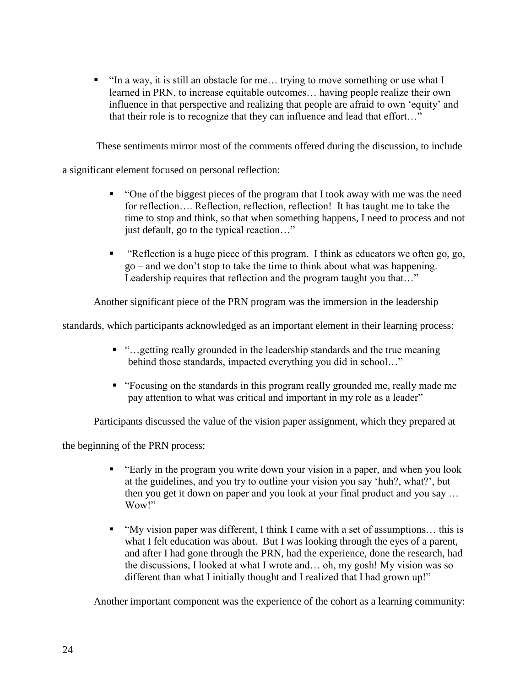$\blacksquare$  "In a way, it is still an obstacle for me... trying to move something or use what I learned in PRN, to increase equitable outcomes… having people realize their own influence in that perspective and realizing that people are afraid to own 'equity' and that their role is to recognize that they can influence and lead that effort…"

These sentiments mirror most of the comments offered during the discussion, to include

a significant element focused on personal reflection:

- "One of the biggest pieces of the program that I took away with me was the need for reflection.... Reflection, reflection, reflection! It has taught me to take the time to stop and think, so that when something happens, I need to process and not just default, go to the typical reaction…"
- " "Reflection is a huge piece of this program. I think as educators we often go, go, go – and we don't stop to take the time to think about what was happening. Leadership requires that reflection and the program taught you that…"

Another significant piece of the PRN program was the immersion in the leadership

standards, which participants acknowledged as an important element in their learning process:

- "…getting really grounded in the leadership standards and the true meaning behind those standards, impacted everything you did in school…"
- "Focusing on the standards in this program really grounded me, really made me pay attention to what was critical and important in my role as a leader"

Participants discussed the value of the vision paper assignment, which they prepared at

the beginning of the PRN process:

- "Early in the program you write down your vision in a paper, and when you look at the guidelines, and you try to outline your vision you say 'huh?, what?', but then you get it down on paper and you look at your final product and you say … Wow!"
- "My vision paper was different, I think I came with a set of assumptions... this is what I felt education was about. But I was looking through the eyes of a parent, and after I had gone through the PRN, had the experience, done the research, had the discussions, I looked at what I wrote and… oh, my gosh! My vision was so different than what I initially thought and I realized that I had grown up!"

Another important component was the experience of the cohort as a learning community: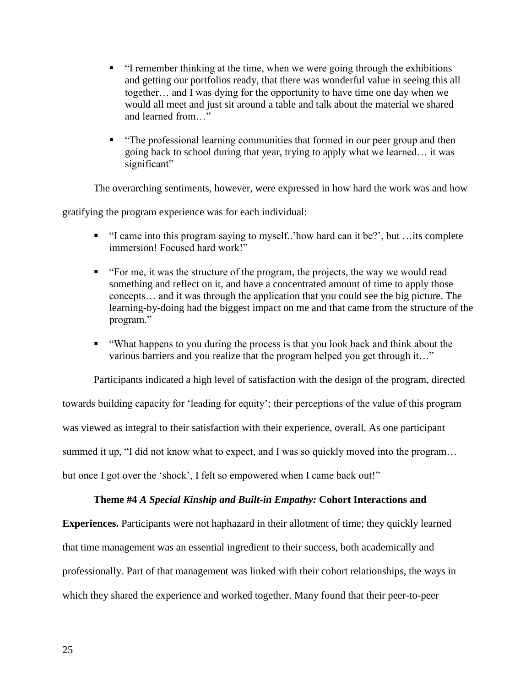- "I remember thinking at the time, when we were going through the exhibitions and getting our portfolios ready, that there was wonderful value in seeing this all together… and I was dying for the opportunity to have time one day when we would all meet and just sit around a table and talk about the material we shared and learned from…"
- "The professional learning communities that formed in our peer group and then going back to school during that year, trying to apply what we learned… it was significant"

The overarching sentiments, however, were expressed in how hard the work was and how

gratifying the program experience was for each individual:

- "I came into this program saying to myself..'how hard can it be?', but …its complete immersion! Focused hard work!"
- "For me, it was the structure of the program, the projects, the way we would read something and reflect on it, and have a concentrated amount of time to apply those concepts… and it was through the application that you could see the big picture. The learning-by-doing had the biggest impact on me and that came from the structure of the program."
- "What happens to you during the process is that you look back and think about the various barriers and you realize that the program helped you get through it…"

Participants indicated a high level of satisfaction with the design of the program, directed towards building capacity for 'leading for equity'; their perceptions of the value of this program was viewed as integral to their satisfaction with their experience, overall. As one participant summed it up, "I did not know what to expect, and I was so quickly moved into the program... but once I got over the 'shock', I felt so empowered when I came back out!"

# **Theme #4** *A Special Kinship and Built-in Empathy:* **Cohort Interactions and**

**Experiences.** Participants were not haphazard in their allotment of time; they quickly learned that time management was an essential ingredient to their success, both academically and professionally. Part of that management was linked with their cohort relationships, the ways in which they shared the experience and worked together. Many found that their peer-to-peer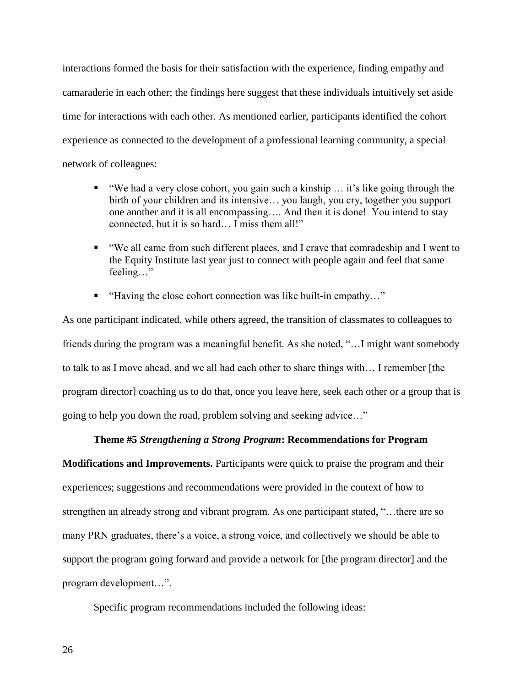interactions formed the basis for their satisfaction with the experience, finding empathy and camaraderie in each other; the findings here suggest that these individuals intuitively set aside time for interactions with each other. As mentioned earlier, participants identified the cohort experience as connected to the development of a professional learning community, a special network of colleagues:

- "We had a very close cohort, you gain such a kinship … it's like going through the birth of your children and its intensive… you laugh, you cry, together you support one another and it is all encompassing…. And then it is done! You intend to stay connected, but it is so hard… I miss them all!"
- "We all came from such different places, and I crave that comradeship and I went to the Equity Institute last year just to connect with people again and feel that same feeling…"
- "Having the close cohort connection was like built-in empathy..."

As one participant indicated, while others agreed, the transition of classmates to colleagues to friends during the program was a meaningful benefit. As she noted, "…I might want somebody to talk to as I move ahead, and we all had each other to share things with… I remember [the program director] coaching us to do that, once you leave here, seek each other or a group that is going to help you down the road, problem solving and seeking advice…"

### **Theme #5** *Strengthening a Strong Program***: Recommendations for Program**

**Modifications and Improvements.** Participants were quick to praise the program and their experiences; suggestions and recommendations were provided in the context of how to strengthen an already strong and vibrant program. As one participant stated, "…there are so many PRN graduates, there's a voice, a strong voice, and collectively we should be able to support the program going forward and provide a network for [the program director] and the program development…".

Specific program recommendations included the following ideas:

26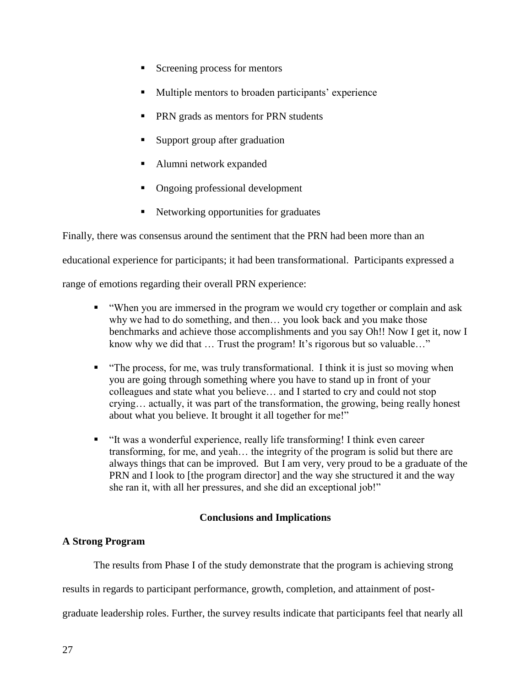- Screening process for mentors
- **Multiple mentors to broaden participants' experience**
- **PRN** grads as mentors for PRN students
- Support group after graduation
- Alumni network expanded
- Ongoing professional development
- Networking opportunities for graduates

Finally, there was consensus around the sentiment that the PRN had been more than an

educational experience for participants; it had been transformational. Participants expressed a

range of emotions regarding their overall PRN experience:

- "When you are immersed in the program we would cry together or complain and ask why we had to do something, and then… you look back and you make those benchmarks and achieve those accomplishments and you say Oh!! Now I get it, now I know why we did that ... Trust the program! It's rigorous but so valuable..."
- "The process, for me, was truly transformational. I think it is just so moving when you are going through something where you have to stand up in front of your colleagues and state what you believe… and I started to cry and could not stop crying… actually, it was part of the transformation, the growing, being really honest about what you believe. It brought it all together for me!"
- "It was a wonderful experience, really life transforming! I think even career transforming, for me, and yeah… the integrity of the program is solid but there are always things that can be improved. But I am very, very proud to be a graduate of the PRN and I look to [the program director] and the way she structured it and the way she ran it, with all her pressures, and she did an exceptional job!"

# **Conclusions and Implications**

# **A Strong Program**

The results from Phase I of the study demonstrate that the program is achieving strong

results in regards to participant performance, growth, completion, and attainment of post-

graduate leadership roles. Further, the survey results indicate that participants feel that nearly all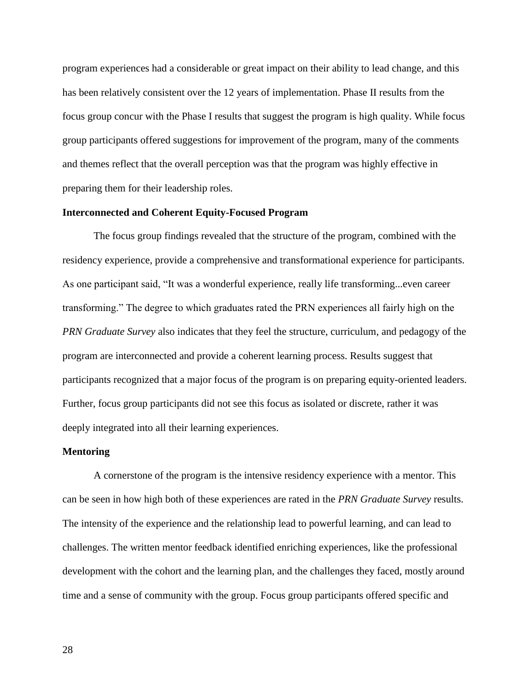program experiences had a considerable or great impact on their ability to lead change, and this has been relatively consistent over the 12 years of implementation. Phase II results from the focus group concur with the Phase I results that suggest the program is high quality. While focus group participants offered suggestions for improvement of the program, many of the comments and themes reflect that the overall perception was that the program was highly effective in preparing them for their leadership roles.

#### **Interconnected and Coherent Equity-Focused Program**

The focus group findings revealed that the structure of the program, combined with the residency experience, provide a comprehensive and transformational experience for participants. As one participant said, "It was a wonderful experience, really life transforming...even career transforming." The degree to which graduates rated the PRN experiences all fairly high on the *PRN Graduate Survey* also indicates that they feel the structure, curriculum, and pedagogy of the program are interconnected and provide a coherent learning process. Results suggest that participants recognized that a major focus of the program is on preparing equity-oriented leaders. Further, focus group participants did not see this focus as isolated or discrete, rather it was deeply integrated into all their learning experiences.

#### **Mentoring**

A cornerstone of the program is the intensive residency experience with a mentor. This can be seen in how high both of these experiences are rated in the *PRN Graduate Survey* results. The intensity of the experience and the relationship lead to powerful learning, and can lead to challenges. The written mentor feedback identified enriching experiences, like the professional development with the cohort and the learning plan, and the challenges they faced, mostly around time and a sense of community with the group. Focus group participants offered specific and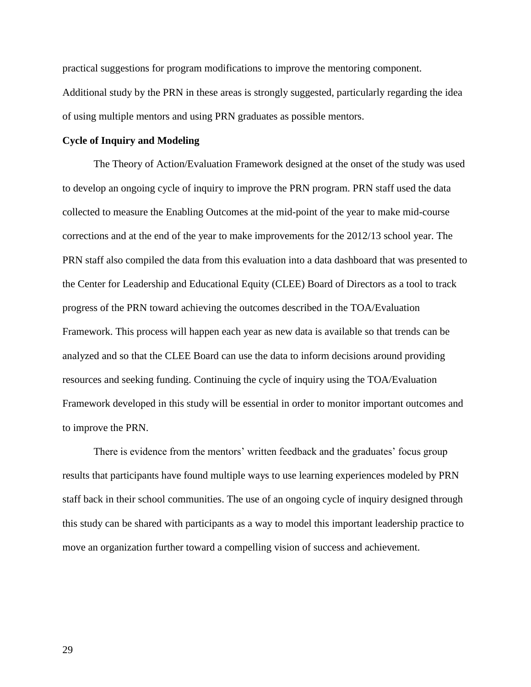practical suggestions for program modifications to improve the mentoring component. Additional study by the PRN in these areas is strongly suggested, particularly regarding the idea of using multiple mentors and using PRN graduates as possible mentors.

#### **Cycle of Inquiry and Modeling**

The Theory of Action/Evaluation Framework designed at the onset of the study was used to develop an ongoing cycle of inquiry to improve the PRN program. PRN staff used the data collected to measure the Enabling Outcomes at the mid-point of the year to make mid-course corrections and at the end of the year to make improvements for the 2012/13 school year. The PRN staff also compiled the data from this evaluation into a data dashboard that was presented to the Center for Leadership and Educational Equity (CLEE) Board of Directors as a tool to track progress of the PRN toward achieving the outcomes described in the TOA/Evaluation Framework. This process will happen each year as new data is available so that trends can be analyzed and so that the CLEE Board can use the data to inform decisions around providing resources and seeking funding. Continuing the cycle of inquiry using the TOA/Evaluation Framework developed in this study will be essential in order to monitor important outcomes and to improve the PRN.

There is evidence from the mentors' written feedback and the graduates' focus group results that participants have found multiple ways to use learning experiences modeled by PRN staff back in their school communities. The use of an ongoing cycle of inquiry designed through this study can be shared with participants as a way to model this important leadership practice to move an organization further toward a compelling vision of success and achievement.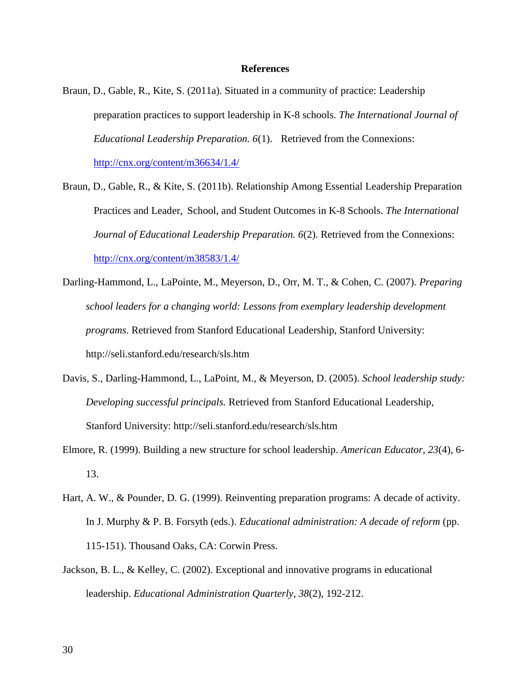#### **References**

- Braun, D., Gable, R., Kite, S. (2011a). Situated in a community of practice: Leadership preparation practices to support leadership in K-8 schools. *The International Journal of Educational Leadership Preparation. 6*(1). Retrieved from the Connexions: <http://cnx.org/content/m36634/1.4/>
- Braun, D., Gable, R., & Kite, S. (2011b). Relationship Among Essential Leadership Preparation Practices and Leader, School, and Student Outcomes in K-8 Schools. *The International Journal of Educational Leadership Preparation. 6*(2). Retrieved from the Connexions: <http://cnx.org/content/m38583/1.4/>
- Darling-Hammond, L., LaPointe, M., Meyerson, D., Orr, M. T., & Cohen, C. (2007). *Preparing school leaders for a changing world: Lessons from exemplary leadership development programs*. Retrieved from Stanford Educational Leadership, Stanford University: http://seli.stanford.edu/research/sls.htm
- Davis, S., Darling-Hammond, L., LaPoint, M., & Meyerson, D. (2005). *School leadership study: Developing successful principals.* Retrieved from Stanford Educational Leadership, Stanford University: http://seli.stanford.edu/research/sls.htm
- Elmore, R. (1999). Building a new structure for school leadership. *American Educator, 23*(4), 6- 13.
- Hart, A. W., & Pounder, D. G. (1999). Reinventing preparation programs: A decade of activity. In J. Murphy & P. B. Forsyth (eds.). *Educational administration: A decade of reform* (pp. 115-151). Thousand Oaks, CA: Corwin Press.
- Jackson, B. L., & Kelley, C. (2002). Exceptional and innovative programs in educational leadership. *Educational Administration Quarterly*, *38*(2), 192-212.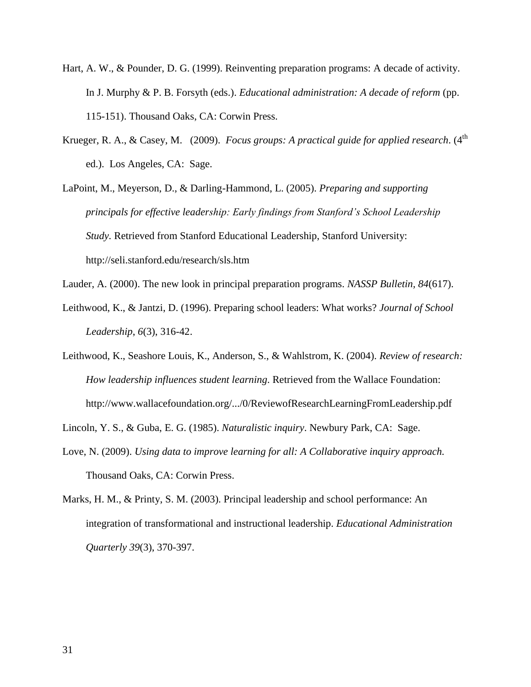- Hart, A. W., & Pounder, D. G. (1999). Reinventing preparation programs: A decade of activity. In J. Murphy & P. B. Forsyth (eds.). *Educational administration: A decade of reform* (pp. 115-151). Thousand Oaks, CA: Corwin Press.
- Krueger, R. A., & Casey, M. (2009). *Focus groups: A practical guide for applied research*. (4<sup>th</sup> ed.). Los Angeles, CA: Sage.
- LaPoint, M., Meyerson, D., & Darling-Hammond, L. (2005). *Preparing and supporting principals for effective leadership: Early findings from Stanford's School Leadership Study.* Retrieved from Stanford Educational Leadership, Stanford University: http://seli.stanford.edu/research/sls.htm
- Lauder, A. (2000). The new look in principal preparation programs. *NASSP Bulletin, 84*(617).
- Leithwood, K., & Jantzi, D. (1996). Preparing school leaders: What works? *Journal of School Leadership*, *6*(3), 316-42.
- Leithwood, K., Seashore Louis, K., Anderson, S., & Wahlstrom, K. (2004). *Review of research: How leadership influences student learning*. Retrieved from the Wallace Foundation: <http://www.wallacefoundation.org/.../0/ReviewofResearchLearningFromLeadership.pdf>

Lincoln, Y. S., & Guba, E. G. (1985). *Naturalistic inquiry*. Newbury Park, CA: Sage.

- Love, N. (2009). *Using data to improve learning for all: A Collaborative inquiry approach.*  Thousand Oaks, CA: Corwin Press.
- Marks, H. M., & Printy, S. M. (2003). Principal leadership and school performance: An integration of transformational and instructional leadership. *Educational Administration Quarterly 39*(3), 370-397.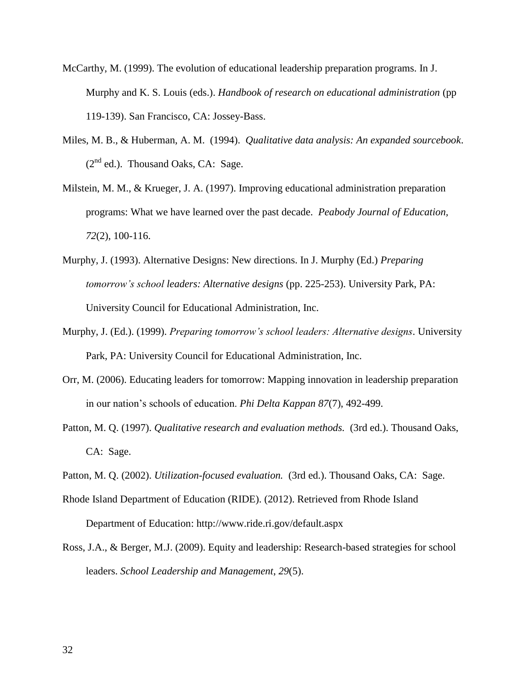- McCarthy, M. (1999). The evolution of educational leadership preparation programs. In J. Murphy and K. S. Louis (eds.). *Handbook of research on educational administration* (pp 119-139). San Francisco, CA: Jossey-Bass.
- Miles, M. B., & Huberman, A. M. (1994). *Qualitative data analysis: An expanded sourcebook*.  $(2<sup>nd</sup>$  ed.). Thousand Oaks, CA: Sage.
- Milstein, M. M., & Krueger, J. A. (1997). Improving educational administration preparation programs: What we have learned over the past decade. *Peabody Journal of Education, 72*(2), 100-116.
- Murphy, J. (1993). Alternative Designs: New directions. In J. Murphy (Ed.) *Preparing tomorrow's school leaders: Alternative designs* (pp. 225-253). University Park, PA: University Council for Educational Administration, Inc.
- Murphy, J. (Ed.). (1999). *Preparing tomorrow's school leaders: Alternative designs*. University Park, PA: University Council for Educational Administration, Inc.
- Orr, M. (2006). Educating leaders for tomorrow: Mapping innovation in leadership preparation in our nation's schools of education. *Phi Delta Kappan 87*(7), 492-499.
- Patton, M. Q. (1997). *Qualitative research and evaluation methods.* (3rd ed.). Thousand Oaks, CA: Sage.
- Patton, M. Q. (2002). *Utilization-focused evaluation.* (3rd ed.). Thousand Oaks, CA: Sage.
- Rhode Island Department of Education (RIDE). (2012). Retrieved from Rhode Island Department of Education: http://www.ride.ri.gov/default.aspx
- Ross, J.A., & Berger, M.J. (2009). Equity and leadership: Research-based strategies for school leaders. *School Leadership and Management*, *29*(5).